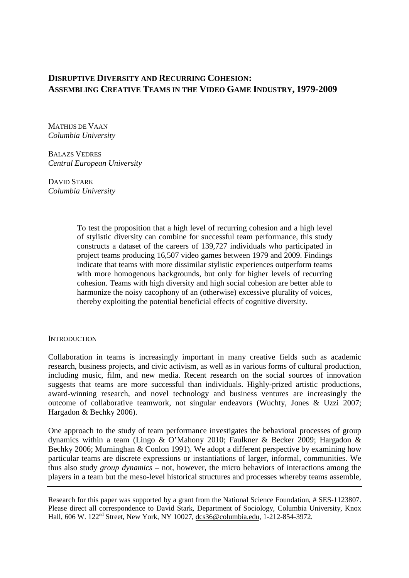# **DISRUPTIVE DIVERSITY AND RECURRING COHESION: ASSEMBLING CREATIVE TEAMS IN THE VIDEO GAME INDUSTRY, 1979-2009**

MATHIJS DE VAAN *Columbia University* 

BALAZS VEDRES *Central European University* 

DAVID STARK *Columbia University* 

> To test the proposition that a high level of recurring cohesion and a high level of stylistic diversity can combine for successful team performance, this study constructs a dataset of the careers of 139,727 individuals who participated in project teams producing 16,507 video games between 1979 and 2009. Findings indicate that teams with more dissimilar stylistic experiences outperform teams with more homogenous backgrounds, but only for higher levels of recurring cohesion. Teams with high diversity and high social cohesion are better able to harmonize the noisy cacophony of an (otherwise) excessive plurality of voices, thereby exploiting the potential beneficial effects of cognitive diversity.

### **INTRODUCTION**

Collaboration in teams is increasingly important in many creative fields such as academic research, business projects, and civic activism, as well as in various forms of cultural production, including music, film, and new media. Recent research on the social sources of innovation suggests that teams are more successful than individuals. Highly-prized artistic productions, award-winning research, and novel technology and business ventures are increasingly the outcome of collaborative teamwork, not singular endeavors (Wuchty, Jones & Uzzi 2007; Hargadon & Bechky 2006).

One approach to the study of team performance investigates the behavioral processes of group dynamics within a team (Lingo & O'Mahony 2010; Faulkner & Becker 2009; Hargadon & Bechky 2006; Murninghan & Conlon 1991). We adopt a different perspective by examining how particular teams are discrete expressions or instantiations of larger, informal, communities. We thus also study *group dynamics* – not, however, the micro behaviors of interactions among the players in a team but the meso-level historical structures and processes whereby teams assemble,

Research for this paper was supported by a grant from the National Science Foundation, # SES-1123807. Please direct all correspondence to David Stark, Department of Sociology, Columbia University, Knox Hall, 606 W. 122nd Street, New York, NY 10027, dcs36@columbia.edu, 1-212-854-3972.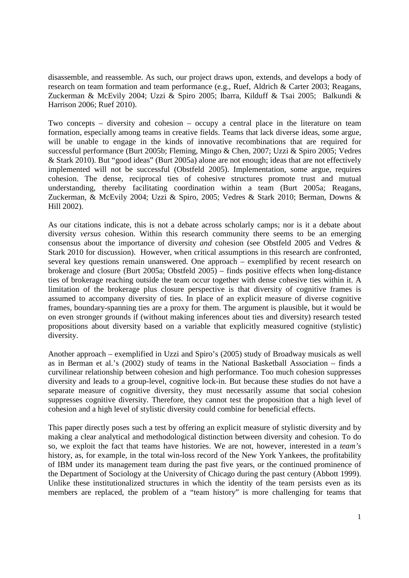disassemble, and reassemble. As such, our project draws upon, extends, and develops a body of research on team formation and team performance (e.g., Ruef, Aldrich & Carter 2003; Reagans, Zuckerman & McEvily 2004; Uzzi & Spiro 2005; Ibarra, Kilduff & Tsai 2005; Balkundi & Harrison 2006; Ruef 2010).

Two concepts – diversity and cohesion – occupy a central place in the literature on team formation, especially among teams in creative fields. Teams that lack diverse ideas, some argue, will be unable to engage in the kinds of innovative recombinations that are required for successful performance (Burt 2005b; Fleming, Mingo & Chen, 2007; Uzzi & Spiro 2005; Vedres & Stark 2010). But "good ideas" (Burt 2005a) alone are not enough; ideas that are not effectively implemented will not be successful (Obstfeld 2005). Implementation, some argue, requires cohesion. The dense, reciprocal ties of cohesive structures promote trust and mutual understanding, thereby facilitating coordination within a team (Burt 2005a; Reagans, Zuckerman, & McEvily 2004; Uzzi & Spiro, 2005; Vedres & Stark 2010; Berman, Downs & Hill 2002).

As our citations indicate, this is not a debate across scholarly camps; nor is it a debate about diversity *versus* cohesion. Within this research community there seems to be an emerging consensus about the importance of diversity *and* cohesion (see Obstfeld 2005 and Vedres & Stark 2010 for discussion). However, when critical assumptions in this research are confronted, several key questions remain unanswered. One approach – exemplified by recent research on brokerage and closure (Burt 2005a; Obstfeld 2005) – finds positive effects when long-distance ties of brokerage reaching outside the team occur together with dense cohesive ties within it. A limitation of the brokerage plus closure perspective is that diversity of cognitive frames is assumed to accompany diversity of ties. In place of an explicit measure of diverse cognitive frames, boundary-spanning ties are a proxy for them. The argument is plausible, but it would be on even stronger grounds if (without making inferences about ties and diversity) research tested propositions about diversity based on a variable that explicitly measured cognitive (stylistic) diversity.

Another approach – exemplified in Uzzi and Spiro's (2005) study of Broadway musicals as well as in Berman et al.'s (2002) study of teams in the National Basketball Association – finds a curvilinear relationship between cohesion and high performance. Too much cohesion suppresses diversity and leads to a group-level, cognitive lock-in. But because these studies do not have a separate measure of cognitive diversity, they must necessarily assume that social cohesion suppresses cognitive diversity. Therefore, they cannot test the proposition that a high level of cohesion and a high level of stylistic diversity could combine for beneficial effects.

This paper directly poses such a test by offering an explicit measure of stylistic diversity and by making a clear analytical and methodological distinction between diversity and cohesion. To do so, we exploit the fact that teams have histories. We are not, however, interested in a *team's*  history, as, for example, in the total win-loss record of the New York Yankees, the profitability of IBM under its management team during the past five years, or the continued prominence of the Department of Sociology at the University of Chicago during the past century (Abbott 1999). Unlike these institutionalized structures in which the identity of the team persists even as its members are replaced, the problem of a "team history" is more challenging for teams that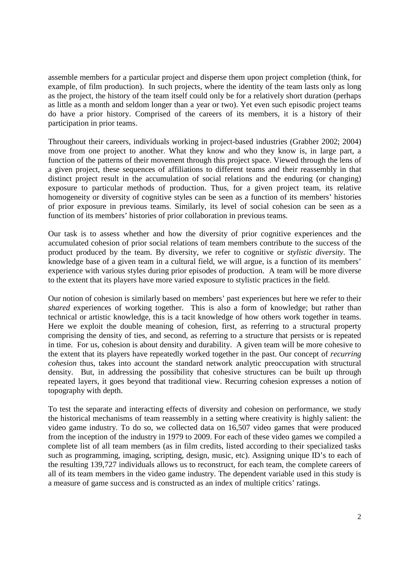assemble members for a particular project and disperse them upon project completion (think, for example, of film production). In such projects, where the identity of the team lasts only as long as the project, the history of the team itself could only be for a relatively short duration (perhaps as little as a month and seldom longer than a year or two). Yet even such episodic project teams do have a prior history. Comprised of the careers of its members, it is a history of their participation in prior teams.

Throughout their careers, individuals working in project-based industries (Grabher 2002; 2004) move from one project to another. What they know and who they know is, in large part, a function of the patterns of their movement through this project space. Viewed through the lens of a given project, these sequences of affiliations to different teams and their reassembly in that distinct project result in the accumulation of social relations and the enduring (or changing) exposure to particular methods of production. Thus, for a given project team, its relative homogeneity or diversity of cognitive styles can be seen as a function of its members' histories of prior exposure in previous teams. Similarly, its level of social cohesion can be seen as a function of its members' histories of prior collaboration in previous teams.

Our task is to assess whether and how the diversity of prior cognitive experiences and the accumulated cohesion of prior social relations of team members contribute to the success of the product produced by the team. By diversity, we refer to cognitive or *stylistic diversity*. The knowledge base of a given team in a cultural field, we will argue, is a function of its members' experience with various styles during prior episodes of production. A team will be more diverse to the extent that its players have more varied exposure to stylistic practices in the field.

Our notion of cohesion is similarly based on members' past experiences but here we refer to their *shared* experiences of working together. This is also a form of knowledge; but rather than technical or artistic knowledge, this is a tacit knowledge of how others work together in teams. Here we exploit the double meaning of cohesion, first, as referring to a structural property comprising the density of ties, and second, as referring to a structure that persists or is repeated in time. For us, cohesion is about density and durability. A given team will be more cohesive to the extent that its players have repeatedly worked together in the past. Our concept of *recurring cohesion* thus, takes into account the standard network analytic preoccupation with structural density. But, in addressing the possibility that cohesive structures can be built up through repeated layers, it goes beyond that traditional view. Recurring cohesion expresses a notion of topography with depth.

To test the separate and interacting effects of diversity and cohesion on performance, we study the historical mechanisms of team reassembly in a setting where creativity is highly salient: the video game industry. To do so, we collected data on 16,507 video games that were produced from the inception of the industry in 1979 to 2009. For each of these video games we compiled a complete list of all team members (as in film credits, listed according to their specialized tasks such as programming, imaging, scripting, design, music, etc). Assigning unique ID's to each of the resulting 139,727 individuals allows us to reconstruct, for each team, the complete careers of all of its team members in the video game industry. The dependent variable used in this study is a measure of game success and is constructed as an index of multiple critics' ratings.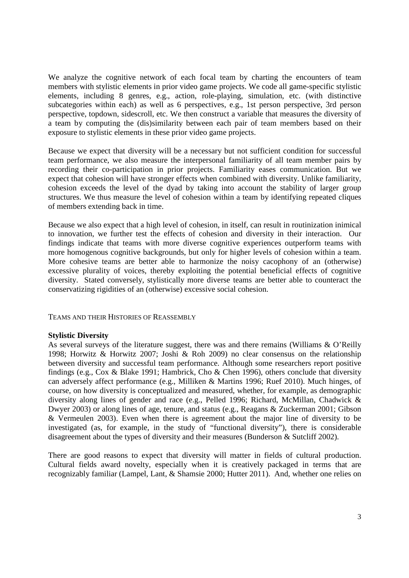We analyze the cognitive network of each focal team by charting the encounters of team members with stylistic elements in prior video game projects. We code all game-specific stylistic elements, including 8 genres, e.g., action, role-playing, simulation, etc. (with distinctive subcategories within each) as well as 6 perspectives, e.g., 1st person perspective, 3rd person perspective, topdown, sidescroll, etc. We then construct a variable that measures the diversity of a team by computing the (dis)similarity between each pair of team members based on their exposure to stylistic elements in these prior video game projects.

Because we expect that diversity will be a necessary but not sufficient condition for successful team performance, we also measure the interpersonal familiarity of all team member pairs by recording their co-participation in prior projects. Familiarity eases communication. But we expect that cohesion will have stronger effects when combined with diversity. Unlike familiarity, cohesion exceeds the level of the dyad by taking into account the stability of larger group structures. We thus measure the level of cohesion within a team by identifying repeated cliques of members extending back in time.

Because we also expect that a high level of cohesion, in itself, can result in routinization inimical to innovation, we further test the effects of cohesion and diversity in their interaction. Our findings indicate that teams with more diverse cognitive experiences outperform teams with more homogenous cognitive backgrounds, but only for higher levels of cohesion within a team. More cohesive teams are better able to harmonize the noisy cacophony of an (otherwise) excessive plurality of voices, thereby exploiting the potential beneficial effects of cognitive diversity. Stated conversely, stylistically more diverse teams are better able to counteract the conservatizing rigidities of an (otherwise) excessive social cohesion.

TEAMS AND THEIR HISTORIES OF REASSEMBLY

# **Stylistic Diversity**

As several surveys of the literature suggest, there was and there remains (Williams & O'Reilly 1998; Horwitz & Horwitz 2007; Joshi & Roh 2009) no clear consensus on the relationship between diversity and successful team performance. Although some researchers report positive findings (e.g., Cox & Blake 1991; Hambrick, Cho & Chen 1996), others conclude that diversity can adversely affect performance (e.g., Milliken & Martins 1996; Ruef 2010). Much hinges, of course, on how diversity is conceptualized and measured, whether, for example, as demographic diversity along lines of gender and race (e.g., Pelled 1996; Richard, McMillan, Chadwick & Dwyer 2003) or along lines of age, tenure, and status (e.g., Reagans & Zuckerman 2001; Gibson & Vermeulen 2003). Even when there is agreement about the major line of diversity to be investigated (as, for example, in the study of "functional diversity"), there is considerable disagreement about the types of diversity and their measures (Bunderson & Sutcliff 2002).

There are good reasons to expect that diversity will matter in fields of cultural production. Cultural fields award novelty, especially when it is creatively packaged in terms that are recognizably familiar (Lampel, Lant, & Shamsie 2000; Hutter 2011). And, whether one relies on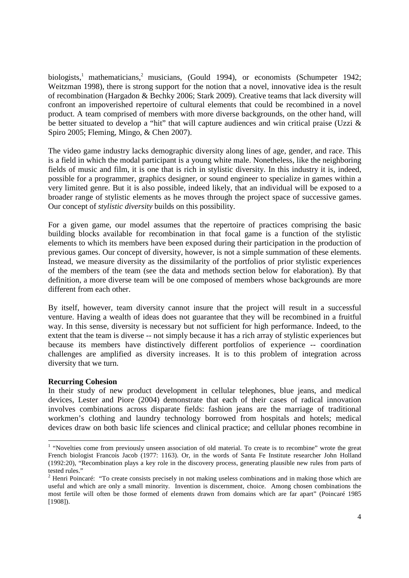biologists,<sup>1</sup> mathematicians,<sup>2</sup> musicians, (Gould 1994), or economists (Schumpeter 1942; Weitzman 1998), there is strong support for the notion that a novel, innovative idea is the result of recombination (Hargadon & Bechky 2006; Stark 2009). Creative teams that lack diversity will confront an impoverished repertoire of cultural elements that could be recombined in a novel product. A team comprised of members with more diverse backgrounds, on the other hand, will be better situated to develop a "hit" that will capture audiences and win critical praise (Uzzi & Spiro 2005; Fleming, Mingo, & Chen 2007).

The video game industry lacks demographic diversity along lines of age, gender, and race. This is a field in which the modal participant is a young white male. Nonetheless, like the neighboring fields of music and film, it is one that is rich in stylistic diversity. In this industry it is, indeed, possible for a programmer, graphics designer, or sound engineer to specialize in games within a very limited genre. But it is also possible, indeed likely, that an individual will be exposed to a broader range of stylistic elements as he moves through the project space of successive games. Our concept of *stylistic diversity* builds on this possibility.

For a given game, our model assumes that the repertoire of practices comprising the basic building blocks available for recombination in that focal game is a function of the stylistic elements to which its members have been exposed during their participation in the production of previous games. Our concept of diversity, however, is not a simple summation of these elements. Instead, we measure diversity as the dissimilarity of the portfolios of prior stylistic experiences of the members of the team (see the data and methods section below for elaboration). By that definition, a more diverse team will be one composed of members whose backgrounds are more different from each other.

By itself, however, team diversity cannot insure that the project will result in a successful venture. Having a wealth of ideas does not guarantee that they will be recombined in a fruitful way. In this sense, diversity is necessary but not sufficient for high performance. Indeed, to the extent that the team is diverse -- not simply because it has a rich array of stylistic experiences but because its members have distinctively different portfolios of experience -- coordination challenges are amplified as diversity increases. It is to this problem of integration across diversity that we turn.

# **Recurring Cohesion**

In their study of new product development in cellular telephones, blue jeans, and medical devices, Lester and Piore (2004) demonstrate that each of their cases of radical innovation involves combinations across disparate fields: fashion jeans are the marriage of traditional workmen's clothing and laundry technology borrowed from hospitals and hotels; medical devices draw on both basic life sciences and clinical practice; and cellular phones recombine in

<sup>&</sup>lt;sup>1</sup> "Novelties come from previously unseen association of old material. To create is to recombine" wrote the great French biologist Francois Jacob (1977: 1163). Or, in the words of Santa Fe Institute researcher John Holland (1992:20), "Recombination plays a key role in the discovery process, generating plausible new rules from parts of tested rules."

<sup>&</sup>lt;sup>2</sup> Henri Poincaré: "To create consists precisely in not making useless combinations and in making those which are useful and which are only a small minority. Invention is discernment, choice. Among chosen combinations the most fertile will often be those formed of elements drawn from domains which are far apart" (Poincaré 1985 [1908]).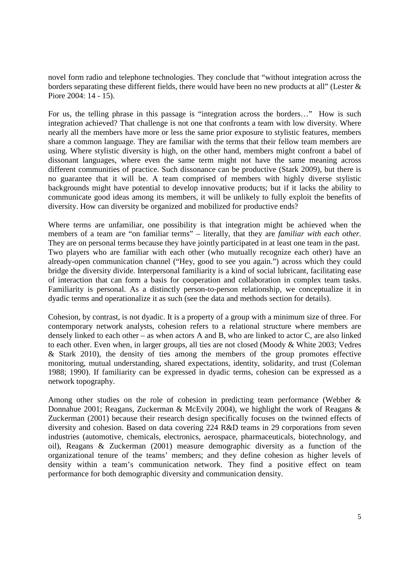novel form radio and telephone technologies. They conclude that "without integration across the borders separating these different fields, there would have been no new products at all" (Lester & Piore 2004: 14 - 15).

For us, the telling phrase in this passage is "integration across the borders…" How is such integration achieved? That challenge is not one that confronts a team with low diversity. Where nearly all the members have more or less the same prior exposure to stylistic features, members share a common language. They are familiar with the terms that their fellow team members are using. Where stylistic diversity is high, on the other hand, members might confront a babel of dissonant languages, where even the same term might not have the same meaning across different communities of practice. Such dissonance can be productive (Stark 2009), but there is no guarantee that it will be. A team comprised of members with highly diverse stylistic backgrounds might have potential to develop innovative products; but if it lacks the ability to communicate good ideas among its members, it will be unlikely to fully exploit the benefits of diversity. How can diversity be organized and mobilized for productive ends?

Where terms are unfamiliar, one possibility is that integration might be achieved when the members of a team are "on familiar terms" – literally, that they are *familiar with each other.* They are on personal terms because they have jointly participated in at least one team in the past. Two players who are familiar with each other (who mutually recognize each other) have an already-open communication channel ("Hey, good to see you again.") across which they could bridge the diversity divide. Interpersonal familiarity is a kind of social lubricant, facilitating ease of interaction that can form a basis for cooperation and collaboration in complex team tasks. Familiarity is personal. As a distinctly person-to-person relationship, we conceptualize it in dyadic terms and operationalize it as such (see the data and methods section for details).

Cohesion, by contrast, is not dyadic. It is a property of a group with a minimum size of three. For contemporary network analysts, cohesion refers to a relational structure where members are densely linked to each other – as when actors A and B, who are linked to actor C, are also linked to each other. Even when, in larger groups, all ties are not closed (Moody & White 2003; Vedres & Stark 2010), the density of ties among the members of the group promotes effective monitoring, mutual understanding, shared expectations, identity, solidarity, and trust (Coleman 1988; 1990). If familiarity can be expressed in dyadic terms, cohesion can be expressed as a network topography.

Among other studies on the role of cohesion in predicting team performance (Webber & Donnahue 2001; Reagans, Zuckerman & McEvily 2004), we highlight the work of Reagans & Zuckerman (2001) because their research design specifically focuses on the twinned effects of diversity and cohesion. Based on data covering 224 R&D teams in 29 corporations from seven industries (automotive, chemicals, electronics, aerospace, pharmaceuticals, biotechnology, and oil), Reagans & Zuckerman (2001) measure demographic diversity as a function of the organizational tenure of the teams' members; and they define cohesion as higher levels of density within a team's communication network. They find a positive effect on team performance for both demographic diversity and communication density.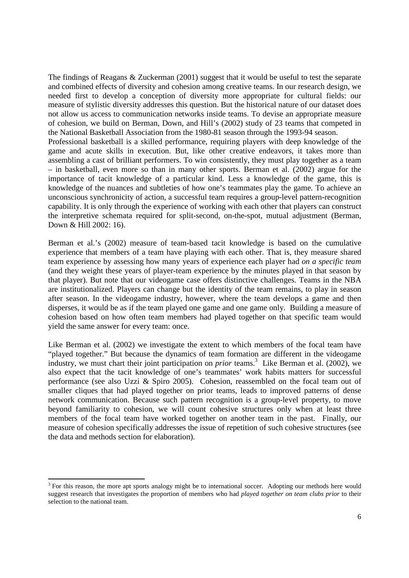The findings of Reagans & Zuckerman (2001) suggest that it would be useful to test the separate and combined effects of diversity and cohesion among creative teams. In our research design, we needed first to develop a conception of diversity more appropriate for cultural fields: our measure of stylistic diversity addresses this question. But the historical nature of our dataset does not allow us access to communication networks inside teams. To devise an appropriate measure of cohesion, we build on Berman, Down, and Hill's (2002) study of 23 teams that competed in the National Basketball Association from the 1980-81 season through the 1993-94 season. Professional basketball is a skilled performance, requiring players with deep knowledge of the game and acute skills in execution. But, like other creative endeavors, it takes more than assembling a cast of brilliant performers. To win consistently, they must play together as a team – in basketball, even more so than in many other sports. Berman et al. (2002) argue for the importance of tacit knowledge of a particular kind. Less a knowledge of the game, this is

knowledge of the nuances and subtleties of how one's teammates play the game. To achieve an unconscious synchronicity of action, a successful team requires a group-level pattern-recognition capability. It is only through the experience of working with each other that players can construct the interpretive schemata required for split-second, on-the-spot, mutual adjustment (Berman, Down & Hill 2002: 16).

Berman et al.'s (2002) measure of team-based tacit knowledge is based on the cumulative experience that members of a team have playing with each other. That is, they measure shared team experience by assessing how many years of experience each player had *on a specific team*  (and they weight these years of player-team experience by the minutes played in that season by that player). But note that our videogame case offers distinctive challenges. Teams in the NBA are institutionalized. Players can change but the identity of the team remains, to play in season after season. In the videogame industry, however, where the team develops a game and then disperses, it would be as if the team played one game and one game only. Building a measure of cohesion based on how often team members had played together on that specific team would yield the same answer for every team: once.

Like Berman et al. (2002) we investigate the extent to which members of the focal team have "played together." But because the dynamics of team formation are different in the videogame industry, we must chart their joint participation on *prior* teams.<sup>3</sup> Like Berman et al. (2002), we also expect that the tacit knowledge of one's teammates' work habits matters for successful performance (see also Uzzi & Spiro 2005). Cohesion, reassembled on the focal team out of smaller cliques that had played together on prior teams, leads to improved patterns of dense network communication. Because such pattern recognition is a group-level property, to move beyond familiarity to cohesion, we will count cohesive structures only when at least three members of the focal team have worked together on another team in the past. Finally, our measure of cohesion specifically addresses the issue of repetition of such cohesive structures (see the data and methods section for elaboration).

<u>.</u>

<sup>&</sup>lt;sup>3</sup> For this reason, the more apt sports analogy might be to international soccer. Adopting our methods here would suggest research that investigates the proportion of members who had *played together on team clubs prior* to their selection to the national team.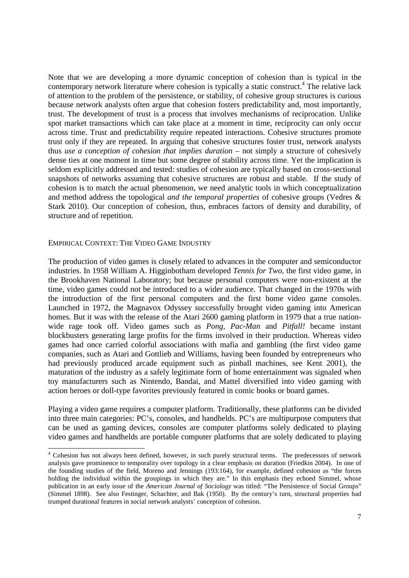Note that we are developing a more dynamic conception of cohesion than is typical in the contemporary network literature where cohesion is typically a static construct.<sup>4</sup> The relative lack of attention to the problem of the persistence, or stability, of cohesive group structures is curious because network analysts often argue that cohesion fosters predictability and, most importantly, trust. The development of trust is a process that involves mechanisms of reciprocation. Unlike spot market transactions which can take place at a moment in time, reciprocity can only occur across time. Trust and predictability require repeated interactions. Cohesive structures promote trust only if they are repeated. In arguing that cohesive structures foster trust, network analysts thus *use a conception of cohesion that implies duration* – not simply a structure of cohesively dense ties at one moment in time but some degree of stability across time. Yet the implication is seldom explicitly addressed and tested: studies of cohesion are typically based on cross-sectional snapshots of networks assuming that cohesive structures are robust and stable. If the study of cohesion is to match the actual phenomenon, we need analytic tools in which conceptualization and method address the topological *and the temporal properties* of cohesive groups (Vedres & Stark 2010). Our conception of cohesion, thus, embraces factors of density and durability, of structure and of repetition.

### EMPIRICAL CONTEXT: THE VIDEO GAME INDUSTRY

The production of video games is closely related to advances in the computer and semiconductor industries. In 1958 William A. Higginbotham developed *Tennis for Two,* the first video game, in the Brookhaven National Laboratory; but because personal computers were non-existent at the time, video games could not be introduced to a wider audience. That changed in the 1970s with the introduction of the first personal computers and the first home video game consoles. Launched in 1972, the Magnavox Odyssey successfully brought video gaming into American homes. But it was with the release of the Atari 2600 gaming platform in 1979 that a true nationwide rage took off. Video games such as *Pong*, *Pac-Man* and *Pitfall!* became instant blockbusters generating large profits for the firms involved in their production. Whereas video games had once carried colorful associations with mafia and gambling (the first video game companies, such as Atari and Gottlieb and Williams, having been founded by entrepreneurs who had previously produced arcade equipment such as pinball machines, see Kent 2001), the maturation of the industry as a safely legitimate form of home entertainment was signaled when toy manufacturers such as Nintendo, Bandai, and Mattel diversified into video gaming with action heroes or doll-type favorites previously featured in comic books or board games.

Playing a video game requires a computer platform. Traditionally, these platforms can be divided into three main categories: PC's, consoles, and handhelds. PC's are multipurpose computers that can be used as gaming devices, consoles are computer platforms solely dedicated to playing video games and handhelds are portable computer platforms that are solely dedicated to playing

The subset of always been defined, however, in such purely structural terms. The predecessors of network analysis gave prominence to temporality over topology in a clear emphasis on duration (Friedkin 2004). In one of the founding studies of the field, Moreno and Jennings (193:164), for example, defined cohesion as "the forces holding the individual within the groupings in which they are." In this emphasis they echoed Simmel, whose publication in an early issue of the *American Journal of Sociology* was titled: "The Persistence of Social Groups" (Simmel 1898). See also Festinger, Schachter, and Bak (1950). By the century's turn, structural properties had trumped durational features in social network analysts' conception of cohesion.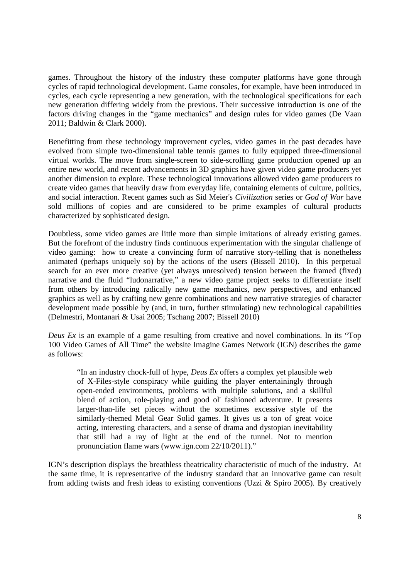games. Throughout the history of the industry these computer platforms have gone through cycles of rapid technological development. Game consoles, for example, have been introduced in cycles, each cycle representing a new generation, with the technological specifications for each new generation differing widely from the previous. Their successive introduction is one of the factors driving changes in the "game mechanics" and design rules for video games (De Vaan 2011; Baldwin & Clark 2000).

Benefitting from these technology improvement cycles, video games in the past decades have evolved from simple two-dimensional table tennis games to fully equipped three-dimensional virtual worlds. The move from single-screen to side-scrolling game production opened up an entire new world, and recent advancements in 3D graphics have given video game producers yet another dimension to explore. These technological innovations allowed video game producers to create video games that heavily draw from everyday life, containing elements of culture, politics, and social interaction. Recent games such as Sid Meier's *Civilization* series or *God of War* have sold millions of copies and are considered to be prime examples of cultural products characterized by sophisticated design.

Doubtless, some video games are little more than simple imitations of already existing games. But the forefront of the industry finds continuous experimentation with the singular challenge of video gaming: how to create a convincing form of narrative story-telling that is nonetheless animated (perhaps uniquely so) by the actions of the users (Bissell 2010). In this perpetual search for an ever more creative (yet always unresolved) tension between the framed (fixed) narrative and the fluid "ludonarrative," a new video game project seeks to differentiate itself from others by introducing radically new game mechanics, new perspectives, and enhanced graphics as well as by crafting new genre combinations and new narrative strategies of character development made possible by (and, in turn, further stimulating) new technological capabilities (Delmestri, Montanari & Usai 2005; Tschang 2007; Bissell 2010)

*Deus Ex* is an example of a game resulting from creative and novel combinations. In its "Top 100 Video Games of All Time" the website Imagine Games Network (IGN) describes the game as follows:

"In an industry chock-full of hype, *Deus Ex* offers a complex yet plausible web of X-Files-style conspiracy while guiding the player entertainingly through open-ended environments, problems with multiple solutions, and a skillful blend of action, role-playing and good ol' fashioned adventure. It presents larger-than-life set pieces without the sometimes excessive style of the similarly-themed Metal Gear Solid games. It gives us a ton of great voice acting, interesting characters, and a sense of drama and dystopian inevitability that still had a ray of light at the end of the tunnel. Not to mention pronunciation flame wars (www.ign.com 22/10/2011)."

IGN's description displays the breathless theatricality characteristic of much of the industry. At the same time, it is representative of the industry standard that an innovative game can result from adding twists and fresh ideas to existing conventions (Uzzi & Spiro 2005). By creatively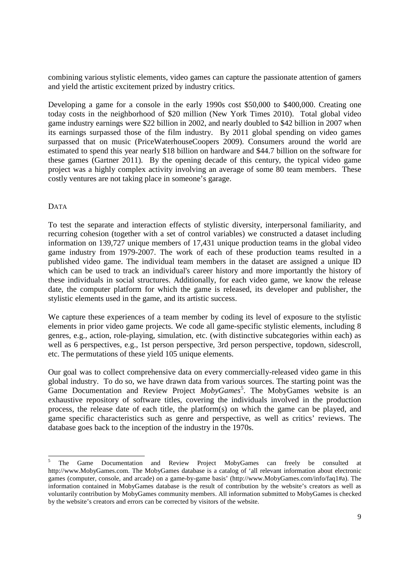combining various stylistic elements, video games can capture the passionate attention of gamers and yield the artistic excitement prized by industry critics.

Developing a game for a console in the early 1990s cost \$50,000 to \$400,000. Creating one today costs in the neighborhood of \$20 million (New York Times 2010). Total global video game industry earnings were \$22 billion in 2002, and nearly doubled to \$42 billion in 2007 when its earnings surpassed those of the film industry. By 2011 global spending on video games surpassed that on music (PriceWaterhouseCoopers 2009). Consumers around the world are estimated to spend this year nearly \$18 billion on hardware and \$44.7 billion on the software for these games (Gartner 2011). By the opening decade of this century, the typical video game project was a highly complex activity involving an average of some 80 team members. These costly ventures are not taking place in someone's garage.

# DATA

To test the separate and interaction effects of stylistic diversity, interpersonal familiarity, and recurring cohesion (together with a set of control variables) we constructed a dataset including information on 139,727 unique members of 17,431 unique production teams in the global video game industry from 1979-2007. The work of each of these production teams resulted in a published video game. The individual team members in the dataset are assigned a unique ID which can be used to track an individual's career history and more importantly the history of these individuals in social structures. Additionally, for each video game, we know the release date, the computer platform for which the game is released, its developer and publisher, the stylistic elements used in the game, and its artistic success.

We capture these experiences of a team member by coding its level of exposure to the stylistic elements in prior video game projects. We code all game-specific stylistic elements, including 8 genres, e.g., action, role-playing, simulation, etc. (with distinctive subcategories within each) as well as 6 perspectives, e.g., 1st person perspective, 3rd person perspective, topdown, sidescroll, etc. The permutations of these yield 105 unique elements.

Our goal was to collect comprehensive data on every commercially-released video game in this global industry. To do so, we have drawn data from various sources. The starting point was the Game Documentation and Review Project MobyGames<sup>5</sup>. The MobyGames website is an exhaustive repository of software titles, covering the individuals involved in the production process, the release date of each title, the platform(s) on which the game can be played, and game specific characteristics such as genre and perspective, as well as critics' reviews. The database goes back to the inception of the industry in the 1970s.

 $\frac{1}{5}$  The Game Documentation and Review Project MobyGames can freely be consulted at http://www.MobyGames.com. The MobyGames database is a catalog of 'all relevant information about electronic games (computer, console, and arcade) on a game-by-game basis' (http://www.MobyGames.com/info/faq1#a). The information contained in MobyGames database is the result of contribution by the website's creators as well as voluntarily contribution by MobyGames community members. All information submitted to MobyGames is checked by the website's creators and errors can be corrected by visitors of the website.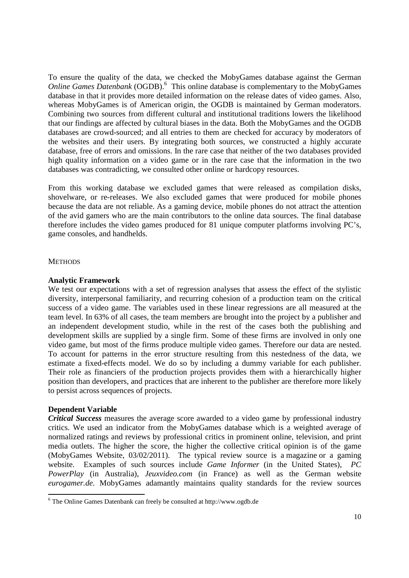To ensure the quality of the data, we checked the MobyGames database against the German Online Games Datenbank (OGDB).<sup>6</sup> This online database is complementary to the MobyGames database in that it provides more detailed information on the release dates of video games. Also, whereas MobyGames is of American origin, the OGDB is maintained by German moderators. Combining two sources from different cultural and institutional traditions lowers the likelihood that our findings are affected by cultural biases in the data. Both the MobyGames and the OGDB databases are crowd-sourced; and all entries to them are checked for accuracy by moderators of the websites and their users. By integrating both sources, we constructed a highly accurate database, free of errors and omissions. In the rare case that neither of the two databases provided high quality information on a video game or in the rare case that the information in the two databases was contradicting, we consulted other online or hardcopy resources.

From this working database we excluded games that were released as compilation disks, shovelware, or re-releases. We also excluded games that were produced for mobile phones because the data are not reliable. As a gaming device, mobile phones do not attract the attention of the avid gamers who are the main contributors to the online data sources. The final database therefore includes the video games produced for 81 unique computer platforms involving PC's, game consoles, and handhelds.

# **METHODS**

### **Analytic Framework**

We test our expectations with a set of regression analyses that assess the effect of the stylistic diversity, interpersonal familiarity, and recurring cohesion of a production team on the critical success of a video game. The variables used in these linear regressions are all measured at the team level. In 63% of all cases, the team members are brought into the project by a publisher and an independent development studio, while in the rest of the cases both the publishing and development skills are supplied by a single firm. Some of these firms are involved in only one video game, but most of the firms produce multiple video games. Therefore our data are nested. To account for patterns in the error structure resulting from this nestedness of the data, we estimate a fixed-effects model. We do so by including a dummy variable for each publisher. Their role as financiers of the production projects provides them with a hierarchically higher position than developers, and practices that are inherent to the publisher are therefore more likely to persist across sequences of projects.

# **Dependent Variable**

1

*Critical Success* measures the average score awarded to a video game by professional industry critics. We used an indicator from the MobyGames database which is a weighted average of normalized ratings and reviews by professional critics in prominent online, television, and print media outlets. The higher the score, the higher the collective critical opinion is of the game (MobyGames Website, 03/02/2011). The typical review source is a magazine or a gaming website. Examples of such sources include *Game Informer* (in the United States), *PC PowerPlay* (in Australia), *Jeuxvideo.com* (in France) as well as the German website *eurogamer.de*. MobyGames adamantly maintains quality standards for the review sources

<sup>6</sup> The Online Games Datenbank can freely be consulted at http://www.ogdb.de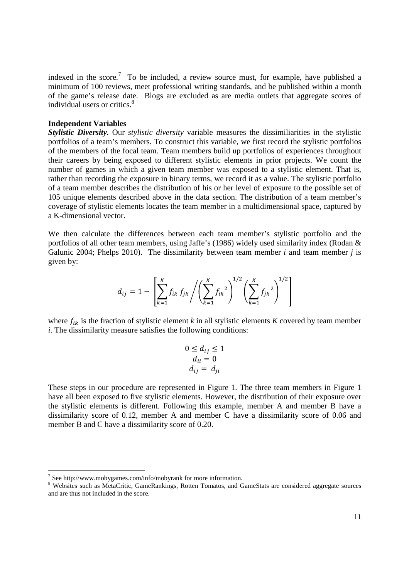indexed in the score.<sup>7</sup> To be included, a review source must, for example, have published a minimum of 100 reviews, meet professional writing standards, and be published within a month of the game's release date. Blogs are excluded as are media outlets that aggregate scores of individual users or critics.<sup>8</sup>

### **Independent Variables**

*Stylistic Diversity.* Our *stylistic diversity* variable measures the dissimiliarities in the stylistic portfolios of a team's members. To construct this variable, we first record the stylistic portfolios of the members of the focal team. Team members build up portfolios of experiences throughout their careers by being exposed to different stylistic elements in prior projects. We count the number of games in which a given team member was exposed to a stylistic element. That is, rather than recording the exposure in binary terms, we record it as a value. The stylistic portfolio of a team member describes the distribution of his or her level of exposure to the possible set of 105 unique elements described above in the data section. The distribution of a team member's coverage of stylistic elements locates the team member in a multidimensional space, captured by a K-dimensional vector.

We then calculate the differences between each team member's stylistic portfolio and the portfolios of all other team members, using Jaffe's (1986) widely used similarity index (Rodan & Galunic 2004; Phelps 2010). The dissimilarity between team member *i* and team member *j* is given by:

$$
d_{ij} = 1 - \left[ \sum_{k=1}^{K} f_{ik} f_{jk} / \left( \sum_{k=1}^{K} f_{ik}^{2} \right)^{1/2} \left( \sum_{k=1}^{K} f_{jk}^{2} \right)^{1/2} \right]
$$

where  $f_{ik}$  is the fraction of stylistic element *k* in all stylistic elements *K* covered by team member *i*. The dissimilarity measure satisfies the following conditions:

$$
0 \le d_{ij} \le 1
$$
  
\n
$$
d_{ii} = 0
$$
  
\n
$$
d_{ij} = d_{ji}
$$

These steps in our procedure are represented in Figure 1. The three team members in Figure 1 have all been exposed to five stylistic elements. However, the distribution of their exposure over the stylistic elements is different. Following this example, member A and member B have a dissimilarity score of 0.12, member A and member C have a dissimilarity score of 0.06 and member B and C have a dissimilarity score of 0.20.

 7 See http://www.mobygames.com/info/mobyrank for more information.

<sup>&</sup>lt;sup>8</sup> Websites such as MetaCritic, GameRankings, Rotten Tomatos, and GameStats are considered aggregate sources and are thus not included in the score.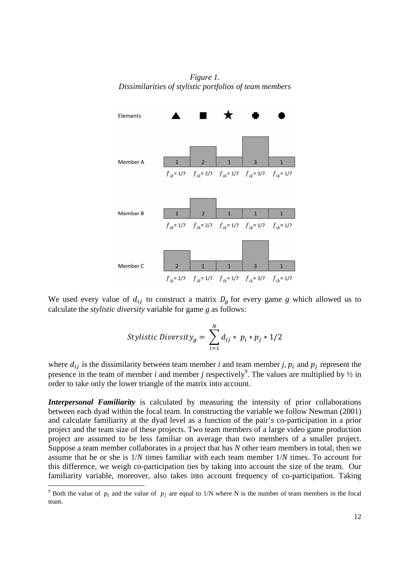*Figure 1. Dissimilarities of stylistic portfolios of team members* 



We used every value of  $d_{ij}$  to construct a matrix  $D_g$  for every game *g* which allowed us to calculate the *stylistic diversity* variable for game *g* as follows:

$$
Stylistic \, Diversity_g = \sum_{i=1}^{N} d_{ij} * p_i * p_j * 1/2
$$

where  $d_{ij}$  is the dissimilarity between team member *i* and team member *j*,  $p_i$  and  $p_j$  represent the presence in the team of member *i* and member *j* respectively<sup>9</sup>. The values are multiplied by  $\frac{1}{2}$  in order to take only the lower triangle of the matrix into account.

*Interpersonal Familiarity* is calculated by measuring the intensity of prior collaborations between each dyad within the focal team. In constructing the variable we follow Newman (2001) and calculate familiarity at the dyad level as a function of the pair's co-participation in a prior project and the team size of these projects. Two team members of a large video game production project are assumed to be less familiar on average than two members of a smaller project. Suppose a team member collaborates in a project that has *N* other team members in total, then we assume that he or she is 1/*N* times familiar with each team member 1/*N* times. To account for this difference, we weigh co-participation ties by taking into account the size of the team. Our familiarity variable, moreover, also takes into account frequency of co-participation. Taking

 $\overline{a}$ 

<sup>&</sup>lt;sup>9</sup> Both the value of  $p_i$  and the value of  $p_j$  are equal to 1/N where N is the number of team members in the focal team.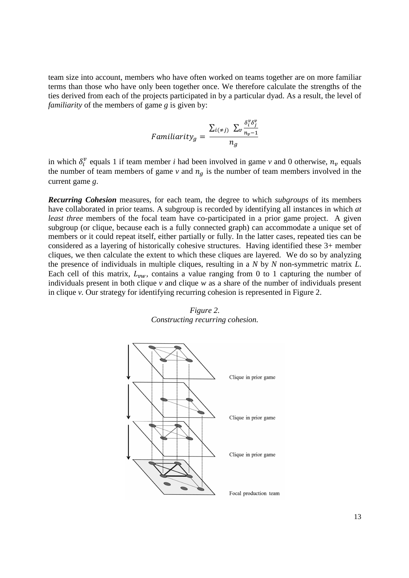team size into account, members who have often worked on teams together are on more familiar terms than those who have only been together once. We therefore calculate the strengths of the ties derived from each of the projects participated in by a particular dyad. As a result, the level of *familiarity* of the members of game *g* is given by:

$$
Familiarity_g = \frac{\sum_{i(\neq j)} \sum_{v} \frac{\delta_i^v \delta_j^v}{n_v - 1}}{n_g}
$$

in which  $\delta_i^v$  equals 1 if team member *i* had been involved in game *v* and 0 otherwise,  $n_v$  equals the number of team members of game  $\nu$  and  $n<sub>g</sub>$  is the number of team members involved in the current game *g*.

*Recurring Cohesion* measures, for each team, the degree to which *subgroups* of its members have collaborated in prior teams. A subgroup is recorded by identifying all instances in which *at least three* members of the focal team have co-participated in a prior game project. A given subgroup (or clique, because each is a fully connected graph) can accommodate a unique set of members or it could repeat itself, either partially or fully. In the latter cases, repeated ties can be considered as a layering of historically cohesive structures. Having identified these 3+ member cliques, we then calculate the extent to which these cliques are layered. We do so by analyzing the presence of individuals in multiple cliques, resulting in a *N* by *N* non-symmetric matrix *L*. Each cell of this matrix,  $L_{vw}$ , contains a value ranging from 0 to 1 capturing the number of individuals present in both clique  $\nu$  and clique  $w$  as a share of the number of individuals present in clique *v.* Our strategy for identifying recurring cohesion is represented in Figure 2.



*Figure 2. Constructing recurring cohesion.*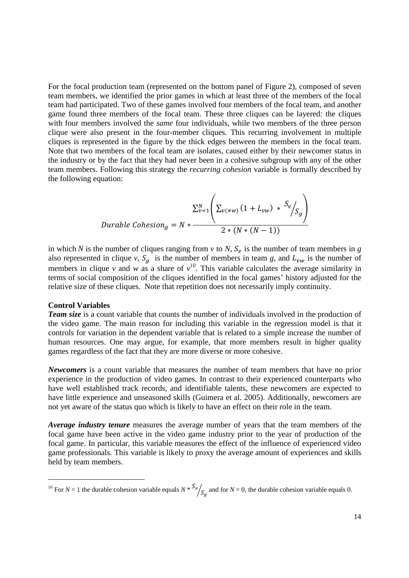For the focal production team (represented on the bottom panel of Figure 2), composed of seven team members, we identified the prior games in which at least three of the members of the focal team had participated. Two of these games involved four members of the focal team, and another game found three members of the focal team. These three cliques can be layered: the cliques with four members involved the *same* four individuals, while two members of the three person clique were also present in the four-member cliques. This recurring involvement in multiple cliques is represented in the figure by the thick edges between the members in the focal team. Note that two members of the focal team are isolates, caused either by their newcomer status in the industry or by the fact that they had never been in a cohesive subgroup with any of the other team members. Following this strategy the *recurring cohesion* variable is formally described by the following equation:

$$
Dirable Cohesion_g = N * \frac{\sum_{v=1}^{N} \left( \sum_{v(\neq w)} (1 + L_{vw}) * \frac{S_v}{S_g} \right)}{2 * (N * (N - 1))}
$$

in which *N* is the number of cliques ranging from *v* to *N*,  $S_v$  is the number of team members in *g* also represented in clique *v*,  $S_g$  is the number of members in team *g*, and  $L_{vw}$  is the number of members in clique *v* and *w* as a share of  $v^{10}$ . This variable calculates the average similarity in terms of social composition of the cliques identified in the focal games' history adjusted for the relative size of these cliques. Note that repetition does not necessarily imply continuity.

### **Control Variables**

<u>.</u>

*Team size* is a count variable that counts the number of individuals involved in the production of the video game. The main reason for including this variable in the regression model is that it controls for variation in the dependent variable that is related to a simple increase the number of human resources. One may argue, for example, that more members result in higher quality games regardless of the fact that they are more diverse or more cohesive.

*Newcomers* is a count variable that measures the number of team members that have no prior experience in the production of video games. In contrast to their experienced counterparts who have well established track records, and identifiable talents, these newcomers are expected to have little experience and unseasoned skills (Guimera et al. 2005). Additionally, newcomers are not yet aware of the status quo which is likely to have an effect on their role in the team.

*Average industry tenure* measures the average number of years that the team members of the focal game have been active in the video game industry prior to the year of production of the focal game. In particular, this variable measures the effect of the influence of experienced video game professionals. This variable is likely to proxy the average amount of experiences and skills held by team members.

<sup>&</sup>lt;sup>10</sup> For *N* = 1 the durable cohesion variable equals *N* \*  $S_v / S_g$  and for *N* = 0, the durable cohesion variable equals 0.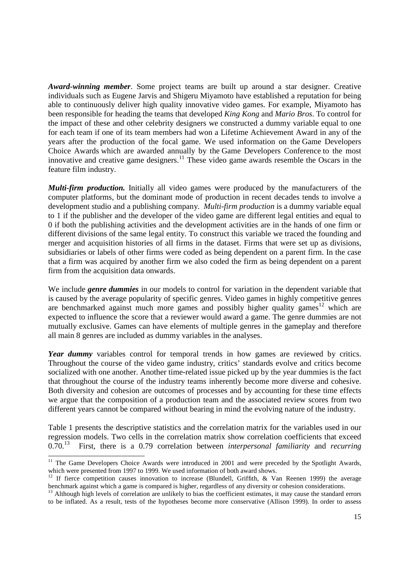*Award-winning member*. Some project teams are built up around a star designer. Creative individuals such as Eugene Jarvis and Shigeru Miyamoto have established a reputation for being able to continuously deliver high quality innovative video games. For example, Miyamoto has been responsible for heading the teams that developed *King Kong* and *Mario Bros*. To control for the impact of these and other celebrity designers we constructed a dummy variable equal to one for each team if one of its team members had won a Lifetime Achievement Award in any of the years after the production of the focal game. We used information on the Game Developers Choice Awards which are awarded annually by the Game Developers Conference to the most innovative and creative game designers.<sup>11</sup> These video game awards resemble the Oscars in the feature film industry.

*Multi-firm production.* Initially all video games were produced by the manufacturers of the computer platforms, but the dominant mode of production in recent decades tends to involve a development studio and a publishing company. *Multi-firm production* is a dummy variable equal to 1 if the publisher and the developer of the video game are different legal entities and equal to 0 if both the publishing activities and the development activities are in the hands of one firm or different divisions of the same legal entity. To construct this variable we traced the founding and merger and acquisition histories of all firms in the dataset. Firms that were set up as divisions, subsidiaries or labels of other firms were coded as being dependent on a parent firm. In the case that a firm was acquired by another firm we also coded the firm as being dependent on a parent firm from the acquisition data onwards.

We include *genre dummies* in our models to control for variation in the dependent variable that is caused by the average popularity of specific genres. Video games in highly competitive genres are benchmarked against much more games and possibly higher quality games<sup>12</sup> which are expected to influence the score that a reviewer would award a game. The genre dummies are not mutually exclusive. Games can have elements of multiple genres in the gameplay and therefore all main 8 genres are included as dummy variables in the analyses.

*Year dummy* variables control for temporal trends in how games are reviewed by critics. Throughout the course of the video game industry, critics' standards evolve and critics become socialized with one another. Another time-related issue picked up by the year dummies is the fact that throughout the course of the industry teams inherently become more diverse and cohesive. Both diversity and cohesion are outcomes of processes and by accounting for these time effects we argue that the composition of a production team and the associated review scores from two different years cannot be compared without bearing in mind the evolving nature of the industry.

Table 1 presents the descriptive statistics and the correlation matrix for the variables used in our regression models. Two cells in the correlation matrix show correlation coefficients that exceed 0.70.<sup>13</sup> First, there is a 0.79 correlation between *interpersonal familiarity* and *recurring* 

<sup>1</sup> <sup>11</sup> The Game Developers Choice Awards were introduced in 2001 and were preceded by the Spotlight Awards, which were presented from 1997 to 1999. We used information of both award shows.

<sup>&</sup>lt;sup>12</sup> If fierce competition causes innovation to increase (Blundell, Griffith, & Van Reenen 1999) the average benchmark against which a game is compared is higher, regardless of any diversity or cohesion considerations.

 $<sup>13</sup>$  Although high levels of correlation are unlikely to bias the coefficient estimates, it may cause the standard errors</sup> to be inflated. As a result, tests of the hypotheses become more conservative (Allison 1999). In order to assess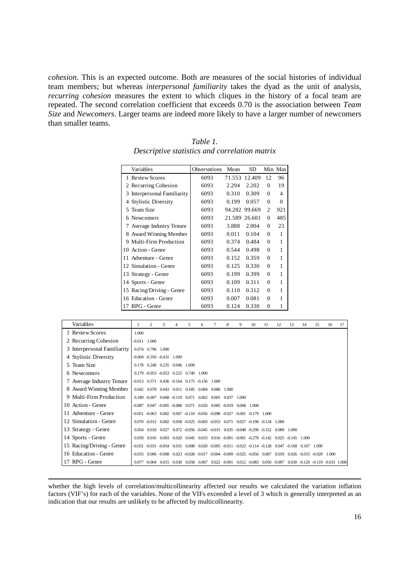*cohesion*. This is an expected outcome. Both are measures of the social histories of individual team members; but whereas *interpersonal familiarity* takes the dyad as the unit of analysis, *recurring cohesion* measures the extent to which cliques in the history of a focal team are repeated. The second correlation coefficient that exceeds 0.70 is the association between *Team Size* and *Newcomers*. Larger teams are indeed more likely to have a larger number of newcomers than smaller teams.

| Variables                   | Observations | Mean   | SD            |                | Min Max  |
|-----------------------------|--------------|--------|---------------|----------------|----------|
| 1 Review Scores             | 6093         |        | 71.553 12.409 | 12             | 96       |
| 2 Recurring Cohesion        | 6093         | 2.294  | 2.202         | $\Omega$       | 19       |
| 3 Interpersonal Familiarity | 6093         | 0.310  | 0.309         | $\Omega$       | 4        |
| 4 Stylistic Diversity       | 6093         | 0.199  | 0.057         | $\Omega$       | $\Omega$ |
| 5 Team Size                 | 6093         | 94.282 | 99.669        | $\overline{2}$ | 921      |
| 6 Newcomers                 | 6093         | 21.589 | 26.601        | $\Omega$       | 485      |
| 7 Average Industry Tenure   | 6093         | 3.888  | 2.004         | $\Omega$       | 23       |
| 8 Award Winning Member      | 6093         | 0.011  | 0.104         | $\theta$       | 1        |
| 9 Multi-Firm Production     | 6093         | 0.374  | 0.484         | $\theta$       | 1        |
| 10 Action - Genre           | 6093         | 0.544  | 0.498         | $\mathbf{0}$   | 1        |
| 11 Adventure - Genre        | 6093         | 0.152  | 0.359         | $\Omega$       | 1        |
| 12 Simulation - Genre       | 6093         | 0.125  | 0.330         | $\Omega$       | 1        |
| 13 Strategy - Genre         | 6093         | 0.199  | 0.399         | $\Omega$       | 1        |
| 14 Sports - Genre           | 6093         | 0.109  | 0.311         | $\Omega$       | 1        |
| 15 Racing/Driving - Genre   | 6093         | 0.110  | 0.312         | $\Omega$       | 1        |
| 16 Education - Genre        | 6093         | 0.007  | 0.081         | $\Omega$       | 1        |
| 17 RPG - Genre              | 6093         | 0.124  | 0.330         | $\theta$       | 1        |

*Table 1. Descriptive statistics and correlation matrix* 

| Variables                   |          | $\overline{c}$        | 3                                                       | 4     | 5           | 6                              | 7     | 8               | 9     | 10                                                                                           | 11 | 12    | 13    | 14                      | 15    | 16    | 17 |
|-----------------------------|----------|-----------------------|---------------------------------------------------------|-------|-------------|--------------------------------|-------|-----------------|-------|----------------------------------------------------------------------------------------------|----|-------|-------|-------------------------|-------|-------|----|
| 1 Review Scores             | 1.000    |                       |                                                         |       |             |                                |       |                 |       |                                                                                              |    |       |       |                         |       |       |    |
| 2 Recurring Cohesion        | $-0.011$ | 1.000                 |                                                         |       |             |                                |       |                 |       |                                                                                              |    |       |       |                         |       |       |    |
| 3 Interpersonal Familiarity |          | 0.074 0.796 1.000     |                                                         |       |             |                                |       |                 |       |                                                                                              |    |       |       |                         |       |       |    |
| 4 Stylistic Diversity       |          |                       | $-0.004$ $-0.350$ $-0.431$ $1.000$                      |       |             |                                |       |                 |       |                                                                                              |    |       |       |                         |       |       |    |
| 5 Team Size                 |          | 0.178 0.240 0.235     |                                                         |       | 0.046 1.000 |                                |       |                 |       |                                                                                              |    |       |       |                         |       |       |    |
| 6 Newcomers                 |          |                       | $0.179 - 0.053 - 0.053$ 0.225                           |       |             | $0.740 \quad 1.000$            |       |                 |       |                                                                                              |    |       |       |                         |       |       |    |
| 7 Average Industry Tenure   | $-0.013$ |                       | $0.571$ $0.436$ $-0.164$ $0.175$ $-0.156$               |       |             |                                | 1.000 |                 |       |                                                                                              |    |       |       |                         |       |       |    |
| 8 Award Winning Member      | 0.042    |                       | 0.078 0.043 0.011 0.185 0.084 0.086                     |       |             |                                |       | 1.000           |       |                                                                                              |    |       |       |                         |       |       |    |
| 9 Multi-Firm Production     |          | $0.189 - 0.007$       |                                                         |       |             | 0.068 -0.110 0.071 0.062 0.001 |       | 0.037           | 1.000 |                                                                                              |    |       |       |                         |       |       |    |
| 10 Action - Genre           | $-0.087$ |                       | $0.047 - 0.005 - 0.088$ $0.071$ $0.020$ $0.085 - 0.019$ |       |             |                                |       |                 |       | 0.008 1.000                                                                                  |    |       |       |                         |       |       |    |
| 11 Adventure - Genre        |          |                       |                                                         |       |             |                                |       |                 |       | $-0.051 - 0.063$ $0.002$ $0.007 - 0.110 - 0.056$ $-0.098$ $-0.027$ $-0.001$ $-0.179$ $1.000$ |    |       |       |                         |       |       |    |
| 12 Simulation - Genre       |          |                       |                                                         |       |             |                                |       |                 |       | $0.070 - 0.012 - 0.002 - 0.058 - 0.025 - 0.003 - 0.053 - 0.071 - 0.027 - 0.190 - 0.134$      |    | 1.000 |       |                         |       |       |    |
| 13 Strategy - Genre         | 0.054    |                       | 0.018 0.027                                             |       |             |                                |       |                 |       | 0.072 -0.056 -0.045 -0.015 0.035 -0.048 -0.290 -0.152                                        |    | 0.089 | 1.000 |                         |       |       |    |
| 14 Sports - Genre           | 0.059    |                       | 0.016 0.003                                             | 0.020 |             |                                |       |                 |       | 0.045 0.033 0.016 -0.001 -0.001 -0.278 -0.142 0.025 -0.145 1.000                             |    |       |       |                         |       |       |    |
| 15 Racing/Driving - Genre   |          |                       | $-0.031$ $-0.031$ $-0.054$ $0.031$                      |       |             |                                |       |                 |       | 0.008 0.020 -0.005 -0.011 -0.023 -0.114 -0.128 0.047 -0.168                                  |    |       |       | 0.107                   | 1.000 |       |    |
| 16 Education - Genre        | $-0.033$ |                       |                                                         |       |             |                                |       |                 |       | $0.006 - 0.008$ $0.023 - 0.028$ $-0.017$ $-0.004$ $-0.009$ $-0.025$ $-0.056$ $0.067$         |    | 0.019 |       | $0.026 - 0.015 - 0.029$ |       | 1.000 |    |
| 17 RPG - Genre              |          | $0.077 - 0.004$ 0.015 |                                                         | 0.030 |             | 0.058 0.067                    |       | $0.022 - 0.001$ |       | 0.012 -0.083 0.050 -0.097 0.030 -0.120 -0.119 -0.031 1.000                                   |    |       |       |                         |       |       |    |

whether the high levels of correlation/multicollinearity affected our results we calculated the variation inflation factors (VIF's) for each of the variables. None of the VIFs exceeded a level of 3 which is generally interpreted as an indication that our results are unlikely to be affected by multicollinearity.

<u>.</u>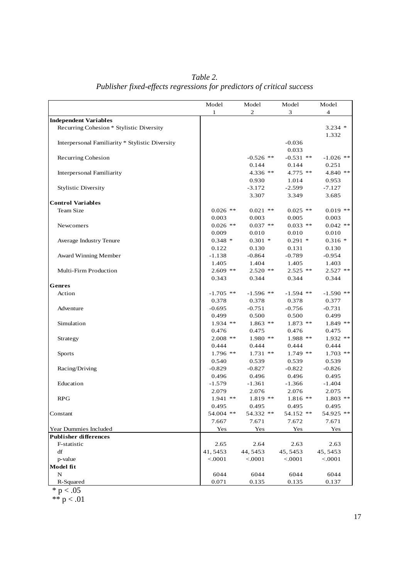*Table 2. Publisher fixed-effects regressions for predictors of critical success* 

|                                                 | Model        | Model          | Model       | Model          |
|-------------------------------------------------|--------------|----------------|-------------|----------------|
|                                                 | $\mathbf{1}$ | $\overline{2}$ | 3           | $\overline{4}$ |
| <b>Independent Variables</b>                    |              |                |             |                |
| Recurring Cohesion * Stylistic Diversity        |              |                |             | $3.234$ *      |
|                                                 |              |                |             | 1.332          |
| Interpersonal Familiarity * Stylistic Diversity |              |                | $-0.036$    |                |
|                                                 |              |                | 0.033       |                |
| Recurring Cohesion                              |              | $-0.526$ **    | $-0.531$ ** | $-1.026$ **    |
|                                                 |              | 0.144          | 0.144       | 0.251          |
| <b>Interpersonal Familiarity</b>                |              | 4.336 **       | $4.775$ **  | 4.840 **       |
|                                                 |              | 0.930          | 1.014       | 0.953          |
| <b>Stylistic Diversity</b>                      |              | $-3.172$       | $-2.599$    | $-7.127$       |
|                                                 |              | 3.307          | 3.349       | 3.685          |
| <b>Control Variables</b>                        |              |                |             |                |
| <b>Team Size</b>                                | $0.026$ **   | $0.021$ **     | $0.025$ **  | $0.019$ **     |
|                                                 | 0.003        | 0.003          | 0.005       | 0.003          |
| Newcomers                                       | $0.026$ **   | $0.037$ **     | $0.033$ **  | $0.042$ **     |
|                                                 | 0.009        | 0.010          | 0.010       | 0.010          |
| Average Industry Tenure                         | $0.348*$     | $0.301$ *      | $0.291*$    | $0.316*$       |
|                                                 | 0.122        | 0.130          | 0.131       | 0.130          |
| Award Winning Member                            | $-1.138$     | $-0.864$       | $-0.789$    | $-0.954$       |
|                                                 | 1.405        | 1.404          | 1.405       | 1.403          |
| Multi-Firm Production                           | $2.609$ **   | $2.520$ **     | $2.525$ **  | $2.527$ **     |
| <b>Genres</b>                                   | 0.343        | 0.344          | 0.344       | 0.344          |
| Action                                          | $-1.705$ **  | $-1.596$ **    | $-1.594$ ** | $-1.590$ **    |
|                                                 | 0.378        | 0.378          | 0.378       | 0.377          |
| Adventure                                       | $-0.695$     | $-0.751$       | $-0.756$    | $-0.731$       |
|                                                 | 0.499        | 0.500          | 0.500       | 0.499          |
| Simulation                                      | $1.934$ **   | $1.863$ **     | $1.873$ **  | 1.849 **       |
|                                                 | 0.476        | 0.475          | 0.476       | 0.475          |
| Strategy                                        | $2.008$ **   | $1.980**$      | 1.988 **    | $1.932$ **     |
|                                                 | 0.444        | 0.444          | 0.444       | 0.444          |
| <b>Sports</b>                                   | $1.796$ **   | $1.731$ **     | $1.749$ **  | $1.703$ **     |
|                                                 | 0.540        | 0.539          | 0.539       | 0.539          |
| Racing/Driving                                  | $-0.829$     | $-0.827$       | $-0.822$    | $-0.826$       |
|                                                 | 0.496        | 0.496          | 0.496       | 0.495          |
| Education                                       | $-1.579$     | $-1.361$       | $-1.366$    | $-1.404$       |
|                                                 | 2.079        | 2.076          | 2.076       | 2.075          |
| <b>RPG</b>                                      | $1.941$ **   | $1.819**$      | $1.816$ **  | $1.803$ **     |
|                                                 | 0.495        | 0.495          | 0.495       | 0.495          |
| Constant                                        | 54.004 **    | 54.332 **      | 54.152 **   | 54.925 **      |
|                                                 | 7.667        | 7.671          | 7.672       | 7.671          |
| Year Dummies Included                           | Yes          | Yes            | Yes         | Yes            |
| <b>Publisher differences</b>                    |              |                |             |                |
| F-statistic                                     | 2.65         | 2.64           | 2.63        | 2.63           |
| df                                              | 41,5453      | 44, 5453       | 45, 5453    | 45, 5453       |
| p-value                                         | < .0001      | < .0001        | < .0001     | < .0001        |
| Model fit                                       |              |                |             |                |
| N                                               | 6044         | 6044           | 6044        | 6044           |
| R-Squared                                       | 0.071        | 0.135          | 0.135       | 0.137          |
| * $p < .05$                                     |              |                |             |                |

\*\*  $p < .01$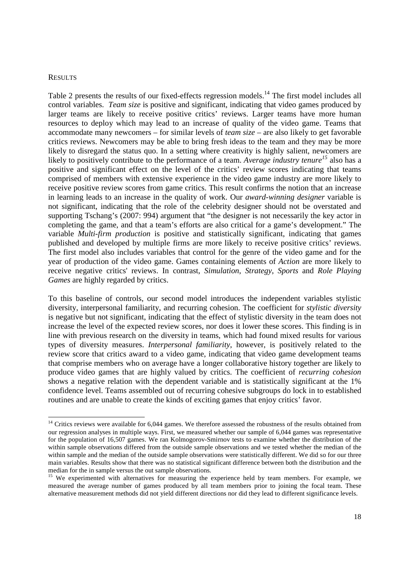#### **RESULTS**

1

Table 2 presents the results of our fixed-effects regression models.<sup>14</sup> The first model includes all control variables. *Team size* is positive and significant, indicating that video games produced by larger teams are likely to receive positive critics' reviews. Larger teams have more human resources to deploy which may lead to an increase of quality of the video game. Teams that accommodate many newcomers – for similar levels of *team size* – are also likely to get favorable critics reviews. Newcomers may be able to bring fresh ideas to the team and they may be more likely to disregard the status quo. In a setting where creativity is highly salient, newcomers are likely to positively contribute to the performance of a team. *Average industry tenure<sup>15</sup>* also has a positive and significant effect on the level of the critics' review scores indicating that teams comprised of members with extensive experience in the video game industry are more likely to receive positive review scores from game critics. This result confirms the notion that an increase in learning leads to an increase in the quality of work. Our *award-winning designer* variable is not significant, indicating that the role of the celebrity designer should not be overstated and supporting Tschang's (2007: 994) argument that "the designer is not necessarily the key actor in completing the game, and that a team's efforts are also critical for a game's development." The variable *Multi-firm production* is positive and statistically significant, indicating that games published and developed by multiple firms are more likely to receive positive critics' reviews. The first model also includes variables that control for the genre of the video game and for the year of production of the video game. Games containing elements of *Action* are more likely to receive negative critics' reviews. In contrast, *Simulation*, *Strategy*, *Sports* and *Role Playing Games* are highly regarded by critics.

To this baseline of controls, our second model introduces the independent variables stylistic diversity, interpersonal familiarity, and recurring cohesion. The coefficient for *stylistic diversity* is negative but not significant, indicating that the effect of stylistic diversity in the team does not increase the level of the expected review scores, nor does it lower these scores. This finding is in line with previous research on the diversity in teams, which had found mixed results for various types of diversity measures. *Interpersonal familiarity*, however, is positively related to the review score that critics award to a video game, indicating that video game development teams that comprise members who on average have a longer collaborative history together are likely to produce video games that are highly valued by critics. The coefficient of *recurring cohesion* shows a negative relation with the dependent variable and is statistically significant at the 1% confidence level. Teams assembled out of recurring cohesive subgroups do lock in to established routines and are unable to create the kinds of exciting games that enjoy critics' favor.

<sup>&</sup>lt;sup>14</sup> Critics reviews were available for 6,044 games. We therefore assessed the robustness of the results obtained from our regression analyses in multiple ways. First, we measured whether our sample of 6,044 games was representative for the population of 16,507 games. We ran Kolmogorov-Smirnov tests to examine whether the distribution of the within sample observations differed from the outside sample observations and we tested whether the median of the within sample and the median of the outside sample observations were statistically different. We did so for our three main variables. Results show that there was no statistical significant difference between both the distribution and the median for the in sample versus the out sample observations.

<sup>&</sup>lt;sup>15</sup> We experimented with alternatives for measuring the experience held by team members. For example, we measured the average number of games produced by all team members prior to joining the focal team. These alternative measurement methods did not yield different directions nor did they lead to different significance levels.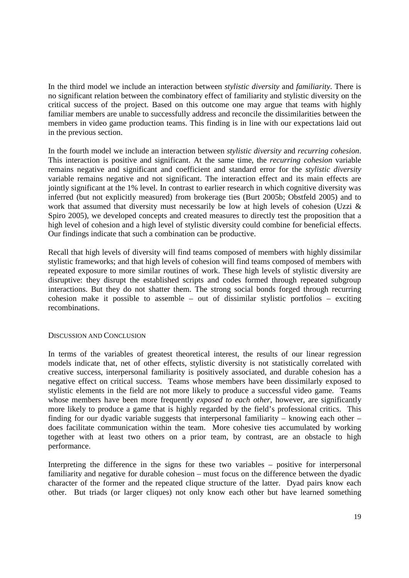In the third model we include an interaction between *stylistic diversity* and *familiarity*. There is no significant relation between the combinatory effect of familiarity and stylistic diversity on the critical success of the project. Based on this outcome one may argue that teams with highly familiar members are unable to successfully address and reconcile the dissimilarities between the members in video game production teams. This finding is in line with our expectations laid out in the previous section.

In the fourth model we include an interaction between *stylistic diversity* and *recurring cohesion*. This interaction is positive and significant. At the same time, the *recurring cohesion* variable remains negative and significant and coefficient and standard error for the *stylistic diversity* variable remains negative and not significant. The interaction effect and its main effects are jointly significant at the 1% level. In contrast to earlier research in which cognitive diversity was inferred (but not explicitly measured) from brokerage ties (Burt 2005b; Obstfeld 2005) and to work that assumed that diversity must necessarily be low at high levels of cohesion (Uzzi & Spiro 2005), we developed concepts and created measures to directly test the proposition that a high level of cohesion and a high level of stylistic diversity could combine for beneficial effects. Our findings indicate that such a combination can be productive.

Recall that high levels of diversity will find teams composed of members with highly dissimilar stylistic frameworks; and that high levels of cohesion will find teams composed of members with repeated exposure to more similar routines of work. These high levels of stylistic diversity are disruptive: they disrupt the established scripts and codes formed through repeated subgroup interactions. But they do not shatter them. The strong social bonds forged through recurring cohesion make it possible to assemble – out of dissimilar stylistic portfolios – exciting recombinations.

### DISCUSSION AND CONCLUSION

In terms of the variables of greatest theoretical interest, the results of our linear regression models indicate that, net of other effects, stylistic diversity is not statistically correlated with creative success, interpersonal familiarity is positively associated, and durable cohesion has a negative effect on critical success. Teams whose members have been dissimilarly exposed to stylistic elements in the field are not more likely to produce a successful video game. Teams whose members have been more frequently *exposed to each other*, however, are significantly more likely to produce a game that is highly regarded by the field's professional critics. This finding for our dyadic variable suggests that interpersonal familiarity – knowing each other – does facilitate communication within the team. More cohesive ties accumulated by working together with at least two others on a prior team, by contrast, are an obstacle to high performance.

Interpreting the difference in the signs for these two variables – positive for interpersonal familiarity and negative for durable cohesion – must focus on the difference between the dyadic character of the former and the repeated clique structure of the latter. Dyad pairs know each other. But triads (or larger cliques) not only know each other but have learned something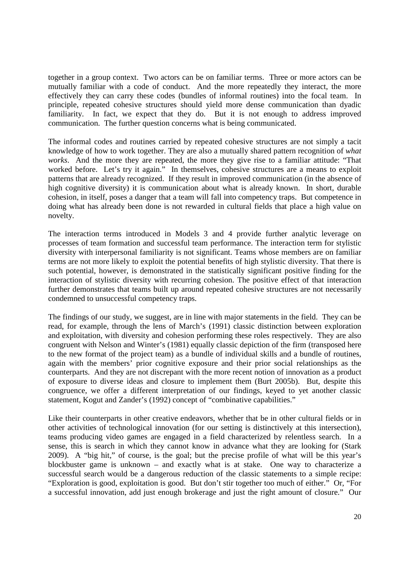together in a group context. Two actors can be on familiar terms. Three or more actors can be mutually familiar with a code of conduct. And the more repeatedly they interact, the more effectively they can carry these codes (bundles of informal routines) into the focal team. In principle, repeated cohesive structures should yield more dense communication than dyadic familiarity. In fact, we expect that they do. But it is not enough to address improved communication. The further question concerns what is being communicated.

The informal codes and routines carried by repeated cohesive structures are not simply a tacit knowledge of how to work together. They are also a mutually shared pattern recognition of *what works*. And the more they are repeated, the more they give rise to a familiar attitude: "That worked before. Let's try it again." In themselves, cohesive structures are a means to exploit patterns that are already recognized. If they result in improved communication (in the absence of high cognitive diversity) it is communication about what is already known. In short, durable cohesion, in itself, poses a danger that a team will fall into competency traps. But competence in doing what has already been done is not rewarded in cultural fields that place a high value on novelty.

The interaction terms introduced in Models 3 and 4 provide further analytic leverage on processes of team formation and successful team performance. The interaction term for stylistic diversity with interpersonal familiarity is not significant. Teams whose members are on familiar terms are not more likely to exploit the potential benefits of high stylistic diversity. That there is such potential, however, is demonstrated in the statistically significant positive finding for the interaction of stylistic diversity with recurring cohesion. The positive effect of that interaction further demonstrates that teams built up around repeated cohesive structures are not necessarily condemned to unsuccessful competency traps.

The findings of our study, we suggest, are in line with major statements in the field. They can be read, for example, through the lens of March's (1991) classic distinction between exploration and exploitation, with diversity and cohesion performing these roles respectively. They are also congruent with Nelson and Winter's (1981) equally classic depiction of the firm (transposed here to the new format of the project team) as a bundle of individual skills and a bundle of routines, again with the members' prior cognitive exposure and their prior social relationships as the counterparts. And they are not discrepant with the more recent notion of innovation as a product of exposure to diverse ideas and closure to implement them (Burt 2005b). But, despite this congruence, we offer a different interpretation of our findings, keyed to yet another classic statement, Kogut and Zander's (1992) concept of "combinative capabilities."

Like their counterparts in other creative endeavors, whether that be in other cultural fields or in other activities of technological innovation (for our setting is distinctively at this intersection), teams producing video games are engaged in a field characterized by relentless search. In a sense, this is search in which they cannot know in advance what they are looking for (Stark 2009). A "big hit," of course, is the goal; but the precise profile of what will be this year's blockbuster game is unknown – and exactly what is at stake. One way to characterize a successful search would be a dangerous reduction of the classic statements to a simple recipe: "Exploration is good, exploitation is good. But don't stir together too much of either." Or, "For a successful innovation, add just enough brokerage and just the right amount of closure." Our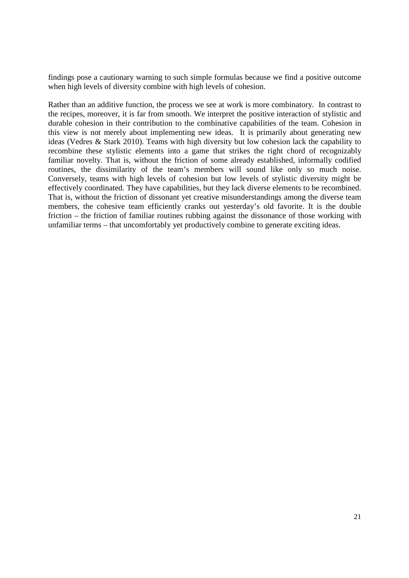findings pose a cautionary warning to such simple formulas because we find a positive outcome when high levels of diversity combine with high levels of cohesion.

Rather than an additive function, the process we see at work is more combinatory. In contrast to the recipes, moreover, it is far from smooth. We interpret the positive interaction of stylistic and durable cohesion in their contribution to the combinative capabilities of the team. Cohesion in this view is not merely about implementing new ideas. It is primarily about generating new ideas (Vedres & Stark 2010). Teams with high diversity but low cohesion lack the capability to recombine these stylistic elements into a game that strikes the right chord of recognizably familiar novelty. That is, without the friction of some already established, informally codified routines, the dissimilarity of the team's members will sound like only so much noise. Conversely, teams with high levels of cohesion but low levels of stylistic diversity might be effectively coordinated. They have capabilities, but they lack diverse elements to be recombined. That is, without the friction of dissonant yet creative misunderstandings among the diverse team members, the cohesive team efficiently cranks out yesterday's old favorite. It is the double friction – the friction of familiar routines rubbing against the dissonance of those working with unfamiliar terms – that uncomfortably yet productively combine to generate exciting ideas.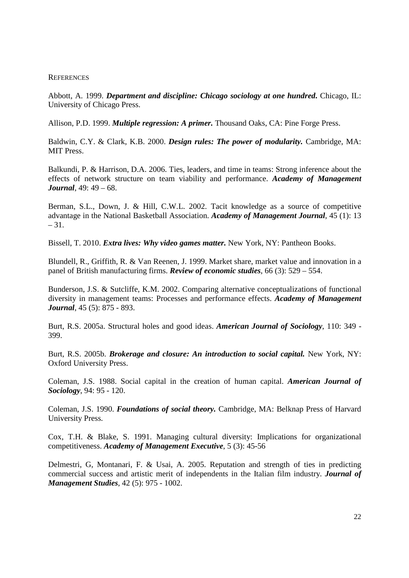### **REFERENCES**

Abbott, A. 1999. *Department and discipline: Chicago sociology at one hundred***.** Chicago, IL: University of Chicago Press.

Allison, P.D. 1999. *Multiple regression: A primer.* Thousand Oaks, CA: Pine Forge Press.

Baldwin, C.Y. & Clark, K.B. 2000. *Design rules: The power of modularity.* Cambridge, MA: MIT Press.

Balkundi, P. & Harrison, D.A. 2006. Ties, leaders, and time in teams: Strong inference about the effects of network structure on team viability and performance. *Academy of Management Journal*, 49: 49 – 68.

Berman, S.L., Down, J. & Hill, C.W.L. 2002. Tacit knowledge as a source of competitive advantage in the National Basketball Association. *Academy of Management Journal*, 45 (1): 13  $-31.$ 

Bissell, T. 2010. *Extra lives: Why video games matter.* New York, NY: Pantheon Books.

Blundell, R., Griffith, R. & Van Reenen, J. 1999. Market share, market value and innovation in a panel of British manufacturing firms. *Review of economic studies*, 66 (3): 529 – 554.

Bunderson, J.S. & Sutcliffe, K.M. 2002. Comparing alternative conceptualizations of functional diversity in management teams: Processes and performance effects. *Academy of Management Journal*, 45 (5): 875 - 893.

Burt, R.S. 2005a. Structural holes and good ideas. *American Journal of Sociology*, 110: 349 - 399.

Burt, R.S. 2005b. *Brokerage and closure: An introduction to social capital.* New York, NY: Oxford University Press.

Coleman, J.S. 1988. Social capital in the creation of human capital. *American Journal of Sociology*, 94: 95 - 120.

Coleman, J.S. 1990. *Foundations of social theory.* Cambridge, MA: Belknap Press of Harvard University Press.

Cox, T.H. & Blake, S. 1991. Managing cultural diversity: Implications for organizational competitiveness. *Academy of Management Executive*, 5 (3): 45-56

Delmestri, G, Montanari, F. & Usai, A. 2005. Reputation and strength of ties in predicting commercial success and artistic merit of independents in the Italian film industry. *Journal of Management Studies*, 42 (5): 975 - 1002.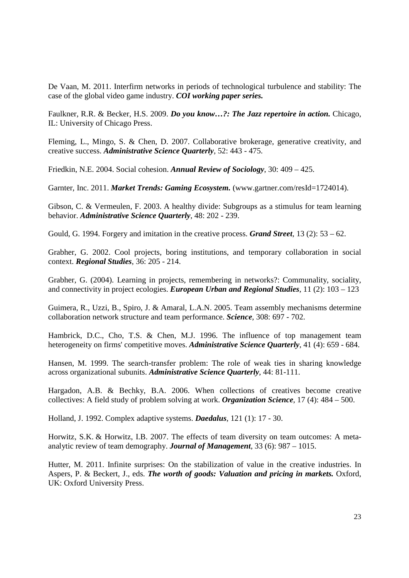De Vaan, M. 2011. Interfirm networks in periods of technological turbulence and stability: The case of the global video game industry. *COI working paper series.*

Faulkner, R.R. & Becker, H.S. 2009. *Do you know…?: The Jazz repertoire in action.* Chicago, IL: University of Chicago Press.

Fleming, L., Mingo, S. & Chen, D. 2007. Collaborative brokerage, generative creativity, and creative success. *Administrative Science Quarterly*, 52: 443 - 475.

Friedkin, N.E. 2004. Social cohesion. *Annual Review of Sociology*, 30: 409 – 425.

Garnter, Inc. 2011. *Market Trends: Gaming Ecosystem.* (www.gartner.com/resId=1724014).

Gibson, C. & Vermeulen, F. 2003. A healthy divide: Subgroups as a stimulus for team learning behavior. *Administrative Science Quarterly*, 48: 202 - 239.

Gould, G. 1994. Forgery and imitation in the creative process. *Grand Street*, 13 (2): 53 – 62.

Grabher, G. 2002. Cool projects, boring institutions, and temporary collaboration in social context. *Regional Studies*, 36: 205 - 214.

Grabher, G. (2004). Learning in projects, remembering in networks?: Communality, sociality, and connectivity in project ecologies. *European Urban and Regional Studies*, 11 (2): 103 – 123

Guimera, R., Uzzi, B., Spiro, J. & Amaral, L.A.N. 2005. Team assembly mechanisms determine collaboration network structure and team performance. *Science*, 308: 697 - 702.

Hambrick, D.C., Cho, T.S. & Chen, M.J. 1996. The influence of top management team heterogeneity on firms' competitive moves. *Administrative Science Quarterly*, 41 (4): 659 - 684.

Hansen, M. 1999. The search-transfer problem: The role of weak ties in sharing knowledge across organizational subunits. *Administrative Science Quarterly*, 44: 81-111.

Hargadon, A.B. & Bechky, B.A. 2006. When collections of creatives become creative collectives: A field study of problem solving at work. *Organization Science*, 17 (4): 484 – 500.

Holland, J. 1992. Complex adaptive systems. *Daedalus*, 121 (1): 17 - 30.

Horwitz, S.K. & Horwitz, I.B. 2007. The effects of team diversity on team outcomes: A metaanalytic review of team demography. *Journal of Management*, 33 (6): 987 – 1015.

Hutter, M. 2011. Infinite surprises: On the stabilization of value in the creative industries. In Aspers, P. & Beckert, J., eds. *The worth of goods: Valuation and pricing in markets.* Oxford, UK: Oxford University Press.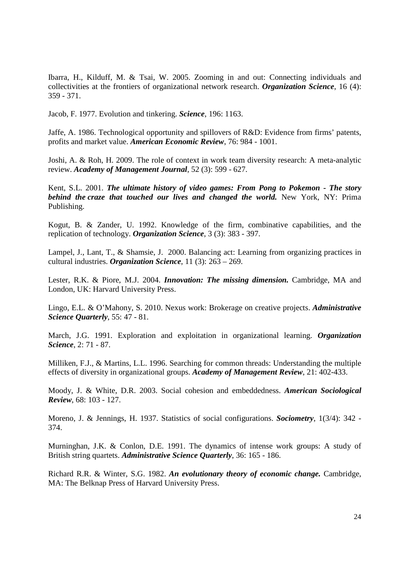Ibarra, H., Kilduff, M. & Tsai, W. 2005. Zooming in and out: Connecting individuals and collectivities at the frontiers of organizational network research. *Organization Science*, 16 (4): 359 - 371.

Jacob, F. 1977. Evolution and tinkering. *Science*, 196: 1163.

Jaffe, A. 1986. Technological opportunity and spillovers of R&D: Evidence from firms' patents, profits and market value. *American Economic Review*, 76: 984 - 1001.

Joshi, A. & Roh, H. 2009. The role of context in work team diversity research: A meta-analytic review. *Academy of Management Journal*, 52 (3): 599 - 627.

Kent, S.L. 2001. *The ultimate history of video games: From Pong to Pokemon - The story behind the craze that touched our lives and changed the world.* New York, NY: Prima Publishing.

Kogut, B. & Zander, U. 1992. Knowledge of the firm, combinative capabilities, and the replication of technology. *Organization Science*, 3 (3): 383 - 397.

Lampel, J., Lant, T., & Shamsie, J. 2000. Balancing act: Learning from organizing practices in cultural industries. *Organization Science*, 11 (3): 263 – 269.

Lester, R.K. & Piore, M.J. 2004. *Innovation: The missing dimension.* Cambridge, MA and London, UK: Harvard University Press.

Lingo, E.L. & O'Mahony, S. 2010. Nexus work: Brokerage on creative projects. *Administrative Science Quarterly*, 55: 47 - 81.

March, J.G. 1991. Exploration and exploitation in organizational learning. *Organization Science*, 2: 71 - 87.

Milliken, F.J., & Martins, L.L. 1996. Searching for common threads: Understanding the multiple effects of diversity in organizational groups. *Academy of Management Review*, 21: 402-433.

Moody, J. & White, D.R. 2003. Social cohesion and embeddedness. *American Sociological Review*, 68: 103 - 127.

Moreno, J. & Jennings, H. 1937. Statistics of social configurations. *Sociometry*, 1(3/4): 342 - 374.

Murninghan, J.K. & Conlon, D.E. 1991. The dynamics of intense work groups: A study of British string quartets. *Administrative Science Quarterly*, 36: 165 - 186.

Richard R.R. & Winter, S.G. 1982. *An evolutionary theory of economic change.* Cambridge, MA: The Belknap Press of Harvard University Press.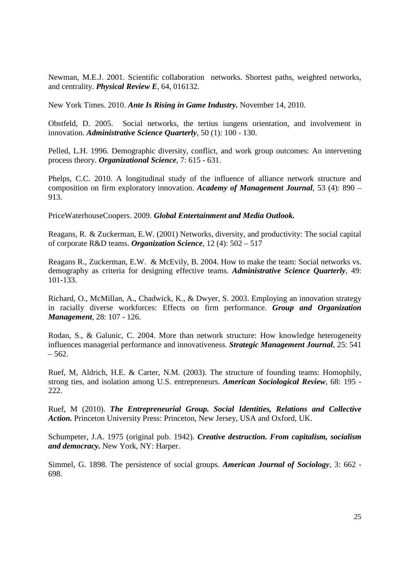Newman, M.E.J. 2001. Scientific collaboration networks. Shortest paths, weighted networks, and centrality. *Physical Review E*, 64, 016132.

New York Times. 2010. *Ante Is Rising in Game Industry.* November 14, 2010.

Obstfeld, D. 2005. Social networks, the tertius iungens orientation, and involvement in innovation. *Administrative Science Quarterly*, 50 (1): 100 - 130.

Pelled, L.H. 1996. Demographic diversity, conflict, and work group outcomes: An intervening process theory. *Organizational Science*, 7: 615 - 631.

Phelps, C.C. 2010. A longitudinal study of the influence of alliance network structure and composition on firm exploratory innovation. *Academy of Management Journal*, 53 (4): 890 – 913.

PriceWaterhouseCoopers. 2009. *Global Entertainment and Media Outlook.*

Reagans, R. & Zuckerman, E.W. (2001) Networks, diversity, and productivity: The social capital of corporate R&D teams. *Organization Science*, 12 (4): 502 – 517

Reagans R., Zuckerman, E.W. & McEvily, B. 2004. How to make the team: Social networks vs. demography as criteria for designing effective teams. *Administrative Science Quarterly*, 49: 101-133.

Richard, O., McMillan, A., Chadwick, K., & Dwyer, S. 2003. Employing an innovation strategy in racially diverse workforces: Effects on firm performance. *Group and Organization Management*, 28: 107 - 126.

Rodan, S., & Galunic, C. 2004. More than network structure: How knowledge heterogeneity influences managerial performance and innovativeness. *Strategic Management Journal*, 25: 541  $-562.$ 

Ruef, M, Aldrich, H.E. & Carter, N.M. (2003). The structure of founding teams: Homophily, strong ties, and isolation among U.S. entrepreneurs. *American Sociological Review*, 68: 195 - 222.

Ruef, M (2010). *The Entrepreneurial Group. Social Identities, Relations and Collective Action.* Princeton University Press: Princeton, New Jersey, USA and Oxford, UK.

Schumpeter, J.A. 1975 (original pub. 1942). *Creative destruction. From capitalism, socialism and democracy.* New York, NY: Harper.

Simmel, G. 1898. The persistence of social groups. *American Journal of Sociology*, 3: 662 - 698.